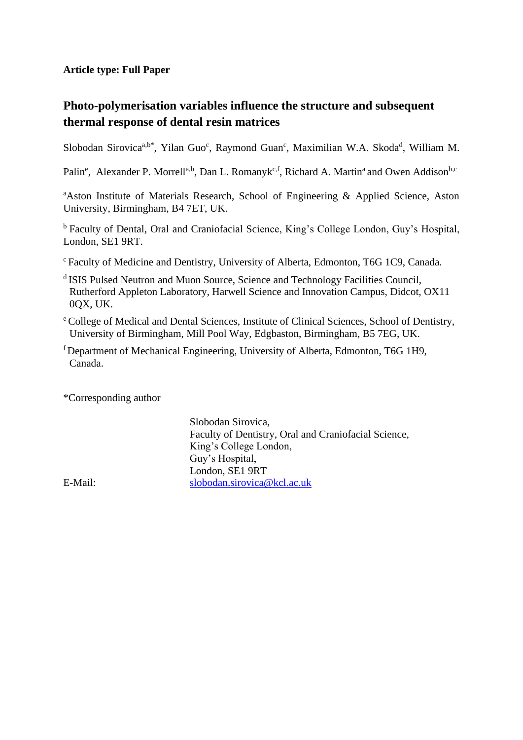## **Article type: Full Paper**

## **Photo-polymerisation variables influence the structure and subsequent thermal response of dental resin matrices**

Slobodan Sirovica<sup>a,b\*</sup>, Yilan Guo<sup>c</sup>, Raymond Guan<sup>c</sup>, Maximilian W.A. Skoda<sup>d</sup>, William M.

Palin<sup>e</sup>, Alexander P. Morrell<sup>a,b</sup>, Dan L. Romanyk<sup>c,f</sup>, Richard A. Martin<sup>a</sup> and Owen Addison<sup>b,c</sup>

<sup>a</sup>Aston Institute of Materials Research, School of Engineering & Applied Science, Aston University, Birmingham, B4 7ET, UK.

<sup>b</sup> Faculty of Dental, Oral and Craniofacial Science, King's College London, Guy's Hospital, London, SE1 9RT.

- <sup>c</sup>Faculty of Medicine and Dentistry, University of Alberta, Edmonton, T6G 1C9, Canada.
- <sup>d</sup> ISIS Pulsed Neutron and Muon Source, Science and Technology Facilities Council, Rutherford Appleton Laboratory, Harwell Science and Innovation Campus, Didcot, OX11 0QX, UK.
- <sup>e</sup> College of Medical and Dental Sciences, Institute of Clinical Sciences, School of Dentistry, University of Birmingham, Mill Pool Way, Edgbaston, Birmingham, B5 7EG, UK.
- <sup>f</sup>Department of Mechanical Engineering, University of Alberta, Edmonton, T6G 1H9, Canada.

\*Corresponding author

Slobodan Sirovica, Faculty of Dentistry, Oral and Craniofacial Science, King's College London, Guy's Hospital, London, SE1 9RT E-Mail: [slobodan.sirovica@kcl.ac.uk](mailto:slobodan.sirovica@kcl.ac.uk)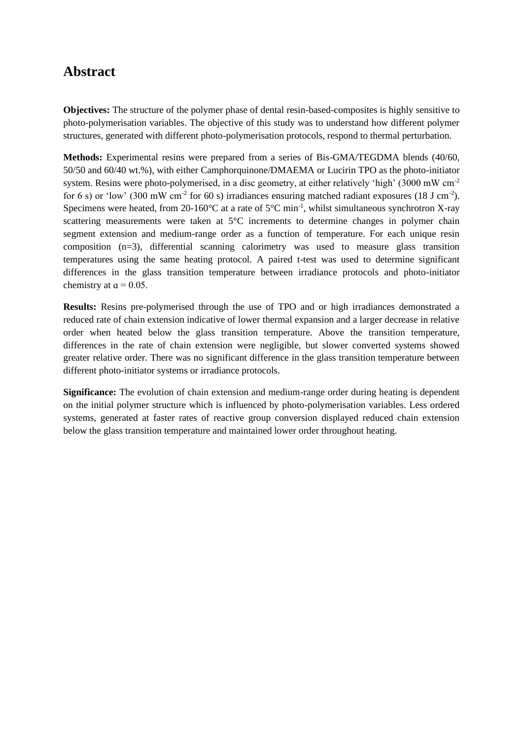# **Abstract**

**Objectives:** The structure of the polymer phase of dental resin-based-composites is highly sensitive to photo-polymerisation variables. The objective of this study was to understand how different polymer structures, generated with different photo-polymerisation protocols, respond to thermal perturbation.

**Methods:** Experimental resins were prepared from a series of Bis-GMA/TEGDMA blends (40/60, 50/50 and 60/40 wt.%), with either Camphorquinone/DMAEMA or Lucirin TPO as the photo-initiator system. Resins were photo-polymerised, in a disc geometry, at either relatively 'high' (3000 mW cm<sup>-2</sup>) for 6 s) or 'low' (300 mW cm<sup>-2</sup> for 60 s) irradiances ensuring matched radiant exposures (18 J cm<sup>-2</sup>). Specimens were heated, from 20-160 $^{\circ}$ C at a rate of 5 $^{\circ}$ C min<sup>-1</sup>, whilst simultaneous synchrotron X-ray scattering measurements were taken at 5°C increments to determine changes in polymer chain segment extension and medium-range order as a function of temperature. For each unique resin composition (n=3), differential scanning calorimetry was used to measure glass transition temperatures using the same heating protocol. A paired t-test was used to determine significant differences in the glass transition temperature between irradiance protocols and photo-initiator chemistry at  $\alpha$  = 0.05.

**Results:** Resins pre-polymerised through the use of TPO and or high irradiances demonstrated a reduced rate of chain extension indicative of lower thermal expansion and a larger decrease in relative order when heated below the glass transition temperature. Above the transition temperature, differences in the rate of chain extension were negligible, but slower converted systems showed greater relative order. There was no significant difference in the glass transition temperature between different photo-initiator systems or irradiance protocols.

**Significance:** The evolution of chain extension and medium-range order during heating is dependent on the initial polymer structure which is influenced by photo-polymerisation variables. Less ordered systems, generated at faster rates of reactive group conversion displayed reduced chain extension below the glass transition temperature and maintained lower order throughout heating.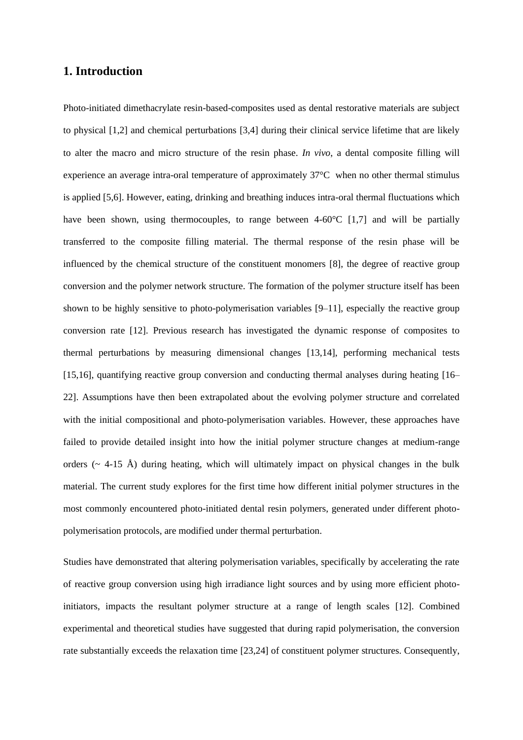## **1. Introduction**

Photo-initiated dimethacrylate resin-based-composites used as dental restorative materials are subject to physical [1,2] and chemical perturbations [3,4] during their clinical service lifetime that are likely to alter the macro and micro structure of the resin phase. *In vivo*, a dental composite filling will experience an average intra-oral temperature of approximately 37°C when no other thermal stimulus is applied [5,6]. However, eating, drinking and breathing induces intra-oral thermal fluctuations which have been shown, using thermocouples, to range between  $4-60^{\circ}C$  [1,7] and will be partially transferred to the composite filling material. The thermal response of the resin phase will be influenced by the chemical structure of the constituent monomers [8], the degree of reactive group conversion and the polymer network structure. The formation of the polymer structure itself has been shown to be highly sensitive to photo-polymerisation variables [9–11], especially the reactive group conversion rate [12]. Previous research has investigated the dynamic response of composites to thermal perturbations by measuring dimensional changes [13,14], performing mechanical tests [15,16], quantifying reactive group conversion and conducting thermal analyses during heating [16– 22]. Assumptions have then been extrapolated about the evolving polymer structure and correlated with the initial compositional and photo-polymerisation variables. However, these approaches have failed to provide detailed insight into how the initial polymer structure changes at medium-range orders ( $\sim$  4-15 Å) during heating, which will ultimately impact on physical changes in the bulk material. The current study explores for the first time how different initial polymer structures in the most commonly encountered photo-initiated dental resin polymers, generated under different photopolymerisation protocols, are modified under thermal perturbation.

Studies have demonstrated that altering polymerisation variables, specifically by accelerating the rate of reactive group conversion using high irradiance light sources and by using more efficient photoinitiators, impacts the resultant polymer structure at a range of length scales [12]. Combined experimental and theoretical studies have suggested that during rapid polymerisation, the conversion rate substantially exceeds the relaxation time [23,24] of constituent polymer structures. Consequently,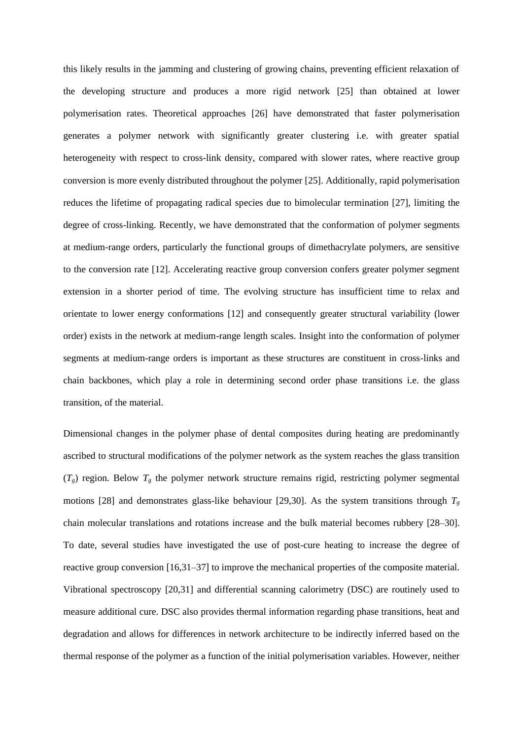this likely results in the jamming and clustering of growing chains, preventing efficient relaxation of the developing structure and produces a more rigid network [25] than obtained at lower polymerisation rates. Theoretical approaches [26] have demonstrated that faster polymerisation generates a polymer network with significantly greater clustering i.e. with greater spatial heterogeneity with respect to cross-link density, compared with slower rates, where reactive group conversion is more evenly distributed throughout the polymer [25]. Additionally, rapid polymerisation reduces the lifetime of propagating radical species due to bimolecular termination [27], limiting the degree of cross-linking. Recently, we have demonstrated that the conformation of polymer segments at medium-range orders, particularly the functional groups of dimethacrylate polymers, are sensitive to the conversion rate [12]. Accelerating reactive group conversion confers greater polymer segment extension in a shorter period of time. The evolving structure has insufficient time to relax and orientate to lower energy conformations [12] and consequently greater structural variability (lower order) exists in the network at medium-range length scales. Insight into the conformation of polymer segments at medium-range orders is important as these structures are constituent in cross-links and chain backbones, which play a role in determining second order phase transitions i.e. the glass transition, of the material.

Dimensional changes in the polymer phase of dental composites during heating are predominantly ascribed to structural modifications of the polymer network as the system reaches the glass transition  $(T<sub>g</sub>)$  region. Below  $T<sub>g</sub>$  the polymer network structure remains rigid, restricting polymer segmental motions [28] and demonstrates glass-like behaviour [29,30]. As the system transitions through  $T_g$ chain molecular translations and rotations increase and the bulk material becomes rubbery [28–30]. To date, several studies have investigated the use of post-cure heating to increase the degree of reactive group conversion [16,31–37] to improve the mechanical properties of the composite material. Vibrational spectroscopy [20,31] and differential scanning calorimetry (DSC) are routinely used to measure additional cure. DSC also provides thermal information regarding phase transitions, heat and degradation and allows for differences in network architecture to be indirectly inferred based on the thermal response of the polymer as a function of the initial polymerisation variables. However, neither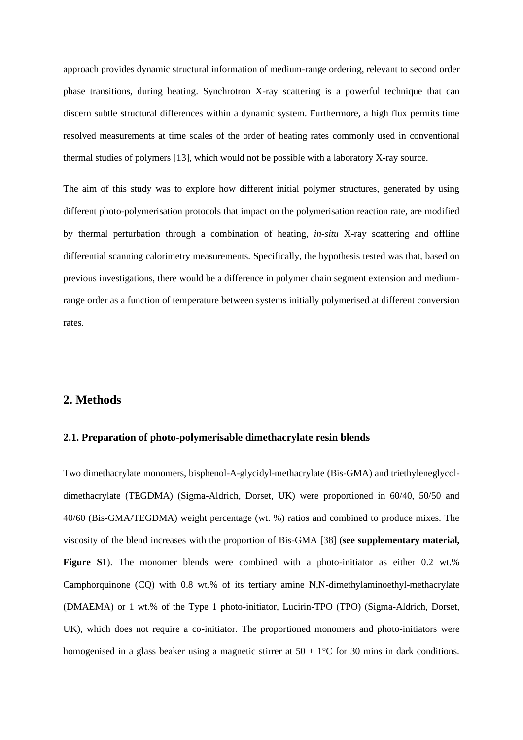approach provides dynamic structural information of medium-range ordering, relevant to second order phase transitions, during heating. Synchrotron X-ray scattering is a powerful technique that can discern subtle structural differences within a dynamic system. Furthermore, a high flux permits time resolved measurements at time scales of the order of heating rates commonly used in conventional thermal studies of polymers [13], which would not be possible with a laboratory X-ray source.

The aim of this study was to explore how different initial polymer structures, generated by using different photo-polymerisation protocols that impact on the polymerisation reaction rate, are modified by thermal perturbation through a combination of heating, *in-situ* X-ray scattering and offline differential scanning calorimetry measurements. Specifically, the hypothesis tested was that, based on previous investigations, there would be a difference in polymer chain segment extension and mediumrange order as a function of temperature between systems initially polymerised at different conversion rates.

## **2. Methods**

### **2.1. Preparation of photo-polymerisable dimethacrylate resin blends**

Two dimethacrylate monomers, bisphenol-A-glycidyl-methacrylate (Bis-GMA) and triethyleneglycoldimethacrylate (TEGDMA) (Sigma-Aldrich, Dorset, UK) were proportioned in 60/40, 50/50 and 40/60 (Bis-GMA/TEGDMA) weight percentage (wt. %) ratios and combined to produce mixes. The viscosity of the blend increases with the proportion of Bis-GMA [38] (**see supplementary material,**  Figure S1). The monomer blends were combined with a photo-initiator as either 0.2 wt.% Camphorquinone (CQ) with 0.8 wt.% of its tertiary amine N,N-dimethylaminoethyl-methacrylate (DMAEMA) or 1 wt.% of the Type 1 photo-initiator, Lucirin-TPO (TPO) (Sigma-Aldrich, Dorset, UK), which does not require a co-initiator. The proportioned monomers and photo-initiators were homogenised in a glass beaker using a magnetic stirrer at  $50 \pm 1^{\circ}$ C for 30 mins in dark conditions.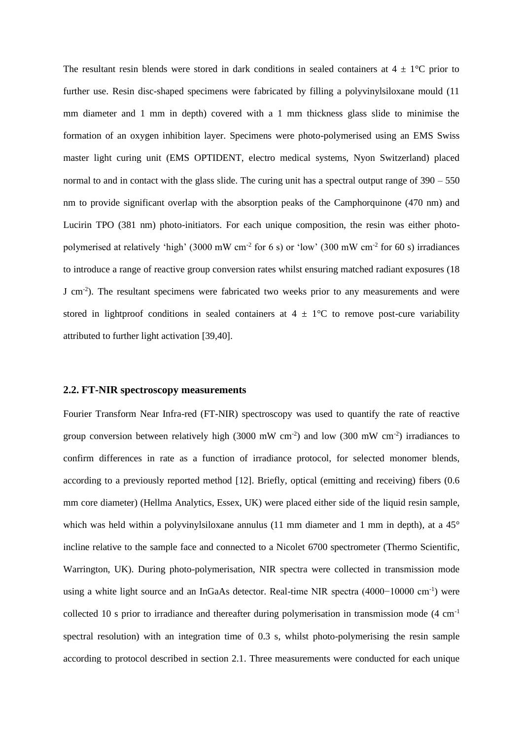The resultant resin blends were stored in dark conditions in sealed containers at  $4 \pm 1$  °C prior to further use. Resin disc-shaped specimens were fabricated by filling a polyvinylsiloxane mould (11 mm diameter and 1 mm in depth) covered with a 1 mm thickness glass slide to minimise the formation of an oxygen inhibition layer. Specimens were photo-polymerised using an EMS Swiss master light curing unit (EMS OPTIDENT, electro medical systems, Nyon Switzerland) placed normal to and in contact with the glass slide. The curing unit has a spectral output range of 390 – 550 nm to provide significant overlap with the absorption peaks of the Camphorquinone (470 nm) and Lucirin TPO (381 nm) photo-initiators. For each unique composition, the resin was either photopolymerised at relatively 'high' (3000 mW cm<sup>-2</sup> for 6 s) or 'low' (300 mW cm<sup>-2</sup> for 60 s) irradiances to introduce a range of reactive group conversion rates whilst ensuring matched radiant exposures (18 J cm<sup>-2</sup>). The resultant specimens were fabricated two weeks prior to any measurements and were stored in lightproof conditions in sealed containers at  $4 \pm 1$ °C to remove post-cure variability attributed to further light activation [39,40].

#### **2.2. FT-NIR spectroscopy measurements**

Fourier Transform Near Infra-red (FT-NIR) spectroscopy was used to quantify the rate of reactive group conversion between relatively high  $(3000 \text{ mW cm}^2)$  and low  $(300 \text{ mW cm}^2)$  irradiances to confirm differences in rate as a function of irradiance protocol, for selected monomer blends, according to a previously reported method [12]. Briefly, optical (emitting and receiving) fibers (0.6 mm core diameter) (Hellma Analytics, Essex, UK) were placed either side of the liquid resin sample, which was held within a polyvinylsiloxane annulus (11 mm diameter and 1 mm in depth), at a 45° incline relative to the sample face and connected to a Nicolet 6700 spectrometer (Thermo Scientific, Warrington, UK). During photo-polymerisation, NIR spectra were collected in transmission mode using a white light source and an InGaAs detector. Real-time NIR spectra (4000−10000 cm-1 ) were collected 10 s prior to irradiance and thereafter during polymerisation in transmission mode (4 cm-1 spectral resolution) with an integration time of 0.3 s, whilst photo-polymerising the resin sample according to protocol described in section 2.1. Three measurements were conducted for each unique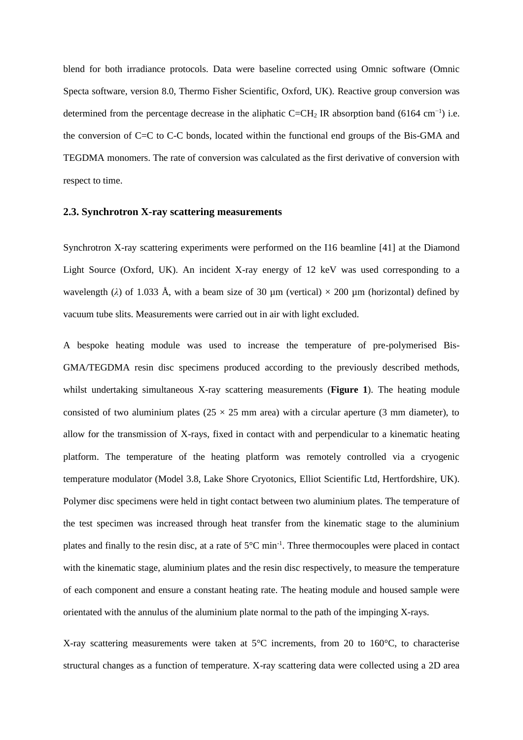blend for both irradiance protocols. Data were baseline corrected using Omnic software (Omnic Specta software, version 8.0, Thermo Fisher Scientific, Oxford, UK). Reactive group conversion was determined from the percentage decrease in the aliphatic C=CH<sub>2</sub> IR absorption band (6164 cm<sup>-1</sup>) i.e. the conversion of C=C to C-C bonds, located within the functional end groups of the Bis-GMA and TEGDMA monomers. The rate of conversion was calculated as the first derivative of conversion with respect to time.

#### **2.3. Synchrotron X-ray scattering measurements**

Synchrotron X-ray scattering experiments were performed on the I16 beamline [41] at the Diamond Light Source (Oxford, UK). An incident X-ray energy of 12 keV was used corresponding to a wavelength ( $\lambda$ ) of 1.033 Å, with a beam size of 30  $\mu$ m (vertical) × 200  $\mu$ m (horizontal) defined by vacuum tube slits. Measurements were carried out in air with light excluded.

A bespoke heating module was used to increase the temperature of pre-polymerised Bis-GMA/TEGDMA resin disc specimens produced according to the previously described methods, whilst undertaking simultaneous X-ray scattering measurements (**Figure 1**). The heating module consisted of two aluminium plates ( $25 \times 25$  mm area) with a circular aperture (3 mm diameter), to allow for the transmission of X-rays, fixed in contact with and perpendicular to a kinematic heating platform. The temperature of the heating platform was remotely controlled via a cryogenic temperature modulator (Model 3.8, Lake Shore Cryotonics, Elliot Scientific Ltd, Hertfordshire, UK). Polymer disc specimens were held in tight contact between two aluminium plates. The temperature of the test specimen was increased through heat transfer from the kinematic stage to the aluminium plates and finally to the resin disc, at a rate of  $5^{\circ}$ C min<sup>-1</sup>. Three thermocouples were placed in contact with the kinematic stage, aluminium plates and the resin disc respectively, to measure the temperature of each component and ensure a constant heating rate. The heating module and housed sample were orientated with the annulus of the aluminium plate normal to the path of the impinging X-rays.

X-ray scattering measurements were taken at 5°C increments, from 20 to 160°C, to characterise structural changes as a function of temperature. X-ray scattering data were collected using a 2D area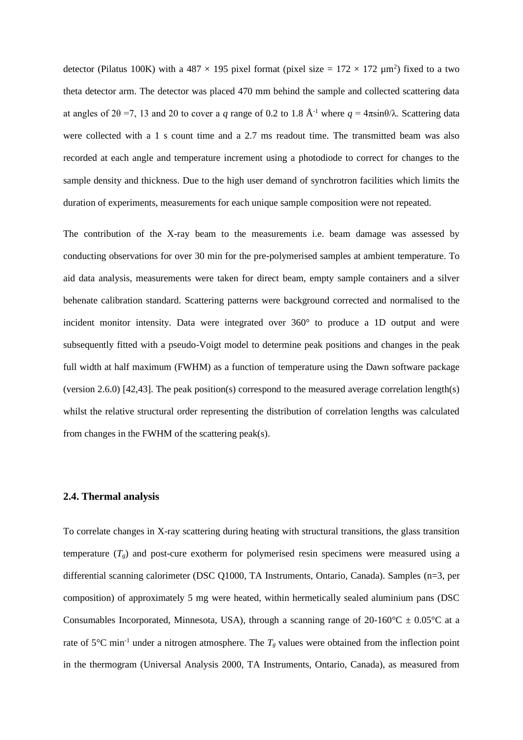detector (Pilatus 100K) with a 487  $\times$  195 pixel format (pixel size = 172  $\times$  172  $\mu$ m<sup>2</sup>) fixed to a two theta detector arm. The detector was placed 470 mm behind the sample and collected scattering data at angles of 2θ =7, 13 and 20 to cover a *q* range of 0.2 to 1.8 Å-1 where *q* = 4πsinθ/λ. Scattering data were collected with a 1 s count time and a 2.7 ms readout time. The transmitted beam was also recorded at each angle and temperature increment using a photodiode to correct for changes to the sample density and thickness. Due to the high user demand of synchrotron facilities which limits the duration of experiments, measurements for each unique sample composition were not repeated.

The contribution of the X-ray beam to the measurements i.e. beam damage was assessed by conducting observations for over 30 min for the pre-polymerised samples at ambient temperature. To aid data analysis, measurements were taken for direct beam, empty sample containers and a silver behenate calibration standard. Scattering patterns were background corrected and normalised to the incident monitor intensity. Data were integrated over 360° to produce a 1D output and were subsequently fitted with a pseudo-Voigt model to determine peak positions and changes in the peak full width at half maximum (FWHM) as a function of temperature using the Dawn software package (version 2.6.0) [42,43]. The peak position(s) correspond to the measured average correlation length(s) whilst the relative structural order representing the distribution of correlation lengths was calculated from changes in the FWHM of the scattering peak(s).

### **2.4. Thermal analysis**

To correlate changes in X-ray scattering during heating with structural transitions, the glass transition temperature  $(T_g)$  and post-cure exotherm for polymerised resin specimens were measured using a differential scanning calorimeter (DSC Q1000, TA Instruments, Ontario, Canada). Samples (n=3, per composition) of approximately 5 mg were heated, within hermetically sealed aluminium pans (DSC Consumables Incorporated, Minnesota, USA), through a scanning range of 20-160 $^{\circ}$ C  $\pm$  0.05 $^{\circ}$ C at a rate of 5 $\degree$ C min<sup>-1</sup> under a nitrogen atmosphere. The  $T_g$  values were obtained from the inflection point in the thermogram (Universal Analysis 2000, TA Instruments, Ontario, Canada), as measured from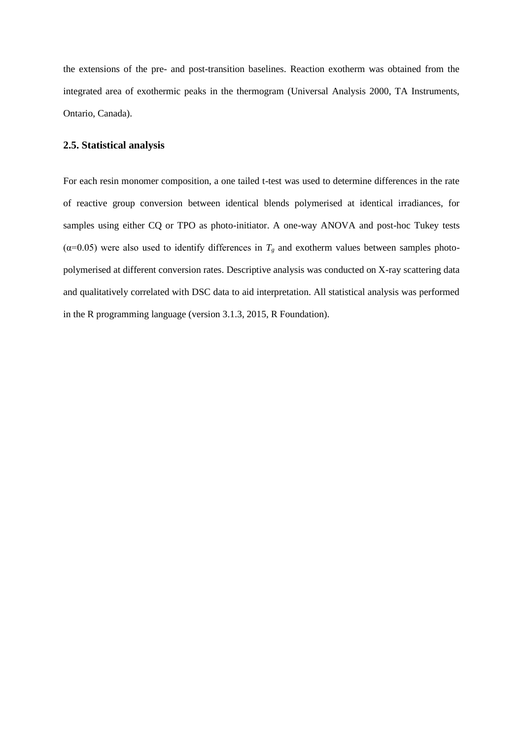the extensions of the pre- and post-transition baselines. Reaction exotherm was obtained from the integrated area of exothermic peaks in the thermogram (Universal Analysis 2000, TA Instruments, Ontario, Canada).

#### **2.5. Statistical analysis**

For each resin monomer composition, a one tailed t-test was used to determine differences in the rate of reactive group conversion between identical blends polymerised at identical irradiances, for samples using either CQ or TPO as photo-initiator. A one-way ANOVA and post-hoc Tukey tests ( $\alpha$ =0.05) were also used to identify differences in  $T_g$  and exotherm values between samples photopolymerised at different conversion rates. Descriptive analysis was conducted on X-ray scattering data and qualitatively correlated with DSC data to aid interpretation. All statistical analysis was performed in the R programming language (version 3.1.3, 2015, R Foundation).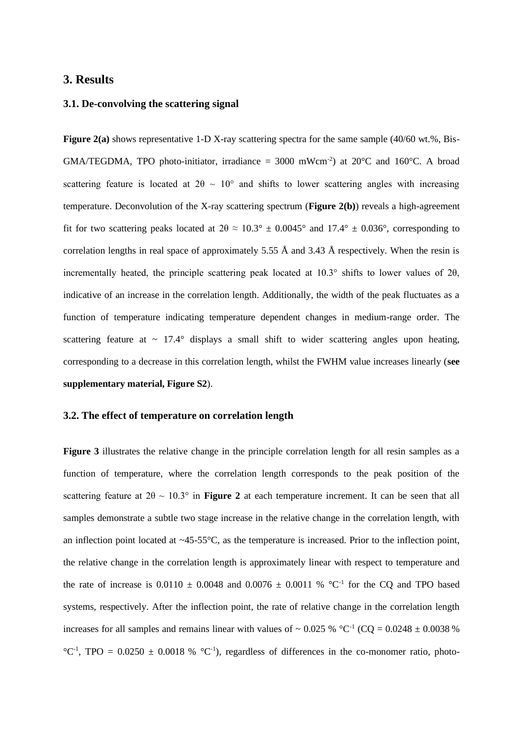### **3. Results**

#### **3.1. De-convolving the scattering signal**

**Figure 2(a)** shows representative 1-D X-ray scattering spectra for the same sample (40/60 wt.%, Bis-GMA/TEGDMA, TPO photo-initiator, irradiance = 3000 mWcm<sup>-2</sup>) at 20 $^{\circ}$ C and 160 $^{\circ}$ C. A broad scattering feature is located at  $2\theta \sim 10^{\circ}$  and shifts to lower scattering angles with increasing temperature. Deconvolution of the X-ray scattering spectrum (**Figure 2(b)**) reveals a high-agreement fit for two scattering peaks located at  $2\theta \approx 10.3^{\circ} \pm 0.0045^{\circ}$  and  $17.4^{\circ} \pm 0.036^{\circ}$ , corresponding to correlation lengths in real space of approximately 5.55 Å and 3.43 Å respectively. When the resin is incrementally heated, the principle scattering peak located at 10.3° shifts to lower values of 2θ, indicative of an increase in the correlation length. Additionally, the width of the peak fluctuates as a function of temperature indicating temperature dependent changes in medium-range order. The scattering feature at  $\sim 17.4^{\circ}$  displays a small shift to wider scattering angles upon heating, corresponding to a decrease in this correlation length, whilst the FWHM value increases linearly (**see supplementary material, Figure S2**).

#### **3.2. The effect of temperature on correlation length**

**Figure 3** illustrates the relative change in the principle correlation length for all resin samples as a function of temperature, where the correlation length corresponds to the peak position of the scattering feature at  $2\theta \sim 10.3^{\circ}$  in **Figure 2** at each temperature increment. It can be seen that all samples demonstrate a subtle two stage increase in the relative change in the correlation length, with an inflection point located at  $\sim$ 45-55 $\degree$ C, as the temperature is increased. Prior to the inflection point, the relative change in the correlation length is approximately linear with respect to temperature and the rate of increase is  $0.0110 \pm 0.0048$  and  $0.0076 \pm 0.0011$  % °C<sup>-1</sup> for the CQ and TPO based systems, respectively. After the inflection point, the rate of relative change in the correlation length increases for all samples and remains linear with values of  $\sim 0.025$  % °C<sup>-1</sup> (CQ = 0.0248  $\pm$  0.0038 %  $^{\circ}C^{-1}$ , TPO = 0.0250  $\pm$  0.0018 %  $^{\circ}C^{-1}$ ), regardless of differences in the co-monomer ratio, photo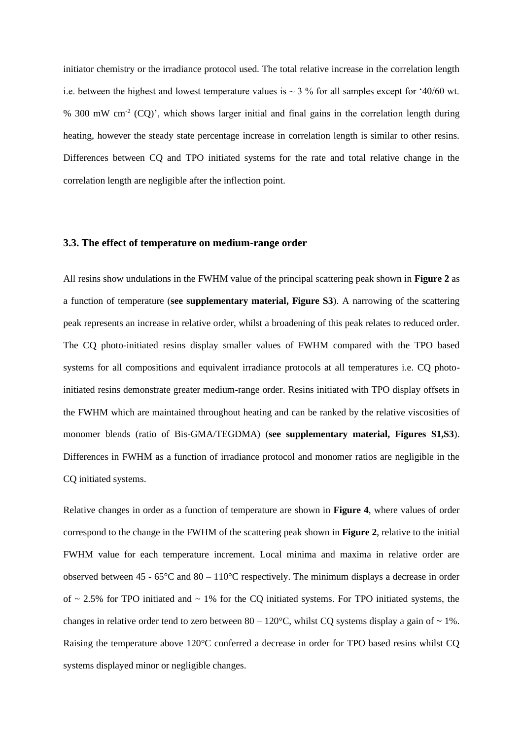initiator chemistry or the irradiance protocol used. The total relative increase in the correlation length i.e. between the highest and lowest temperature values is  $\sim$  3 % for all samples except for '40/60 wt. % 300 mW cm<sup>-2</sup> (CQ)', which shows larger initial and final gains in the correlation length during heating, however the steady state percentage increase in correlation length is similar to other resins. Differences between CQ and TPO initiated systems for the rate and total relative change in the correlation length are negligible after the inflection point.

#### **3.3. The effect of temperature on medium-range order**

All resins show undulations in the FWHM value of the principal scattering peak shown in **Figure 2** as a function of temperature (**see supplementary material, Figure S3**). A narrowing of the scattering peak represents an increase in relative order, whilst a broadening of this peak relates to reduced order. The CQ photo-initiated resins display smaller values of FWHM compared with the TPO based systems for all compositions and equivalent irradiance protocols at all temperatures i.e. CQ photoinitiated resins demonstrate greater medium-range order. Resins initiated with TPO display offsets in the FWHM which are maintained throughout heating and can be ranked by the relative viscosities of monomer blends (ratio of Bis-GMA/TEGDMA) (**see supplementary material, Figures S1,S3**). Differences in FWHM as a function of irradiance protocol and monomer ratios are negligible in the CQ initiated systems.

Relative changes in order as a function of temperature are shown in **Figure 4**, where values of order correspond to the change in the FWHM of the scattering peak shown in **Figure 2**, relative to the initial FWHM value for each temperature increment. Local minima and maxima in relative order are observed between 45 -  $65^{\circ}$ C and  $80 - 110^{\circ}$ C respectively. The minimum displays a decrease in order of  $\sim$  2.5% for TPO initiated and  $\sim$  1% for the CQ initiated systems. For TPO initiated systems, the changes in relative order tend to zero between  $80 - 120^{\circ}$ C, whilst CQ systems display a gain of  $\sim 1\%$ . Raising the temperature above 120°C conferred a decrease in order for TPO based resins whilst CQ systems displayed minor or negligible changes.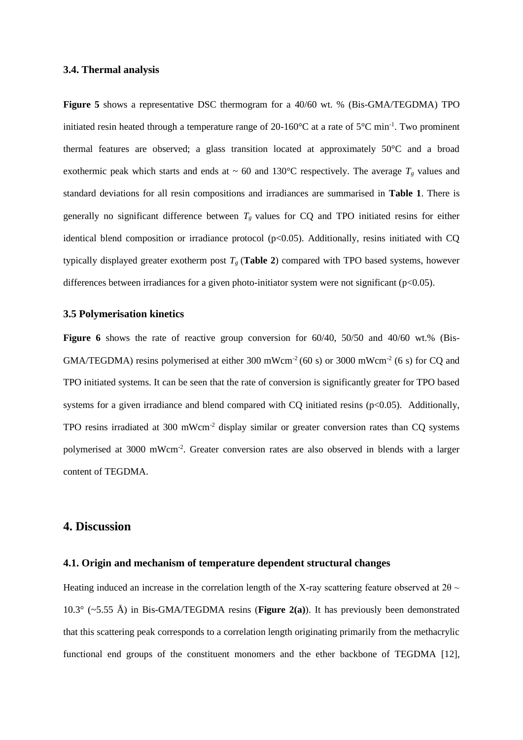#### **3.4. Thermal analysis**

**Figure 5** shows a representative DSC thermogram for a 40/60 wt. % (Bis-GMA/TEGDMA) TPO initiated resin heated through a temperature range of  $20\n-160^{\circ}\text{C}$  at a rate of  $5^{\circ}\text{C}$  min<sup>-1</sup>. Two prominent thermal features are observed; a glass transition located at approximately 50°C and a broad exothermic peak which starts and ends at  $\sim 60$  and 130°C respectively. The average  $T_g$  values and standard deviations for all resin compositions and irradiances are summarised in **Table 1**. There is generally no significant difference between  $T_g$  values for CQ and TPO initiated resins for either identical blend composition or irradiance protocol ( $p<0.05$ ). Additionally, resins initiated with CQ typically displayed greater exotherm post  $T_g$  (Table 2) compared with TPO based systems, however differences between irradiances for a given photo-initiator system were not significant (p<0.05).

#### **3.5 Polymerisation kinetics**

Figure 6 shows the rate of reactive group conversion for 60/40, 50/50 and 40/60 wt.% (Bis-GMA/TEGDMA) resins polymerised at either 300 mWcm<sup>-2</sup> (60 s) or 3000 mWcm<sup>-2</sup> (6 s) for CQ and TPO initiated systems. It can be seen that the rate of conversion is significantly greater for TPO based systems for a given irradiance and blend compared with  $CQ$  initiated resins ( $p<0.05$ ). Additionally, TPO resins irradiated at 300 mWcm<sup>-2</sup> display similar or greater conversion rates than CQ systems polymerised at 3000 mWcm<sup>-2</sup>. Greater conversion rates are also observed in blends with a larger content of TEGDMA.

## **4. Discussion**

#### **4.1. Origin and mechanism of temperature dependent structural changes**

Heating induced an increase in the correlation length of the X-ray scattering feature observed at  $2\theta \sim$ 10.3° (~5.55 Å) in Bis-GMA/TEGDMA resins (**Figure 2(a)**). It has previously been demonstrated that this scattering peak corresponds to a correlation length originating primarily from the methacrylic functional end groups of the constituent monomers and the ether backbone of TEGDMA [12],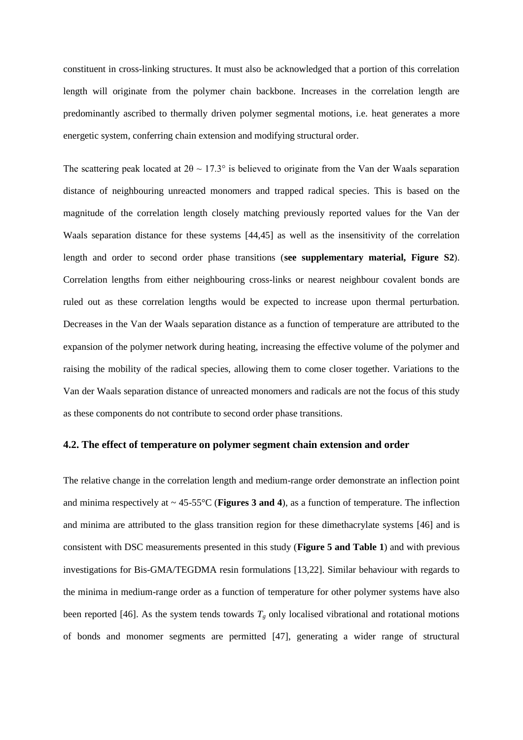constituent in cross-linking structures. It must also be acknowledged that a portion of this correlation length will originate from the polymer chain backbone. Increases in the correlation length are predominantly ascribed to thermally driven polymer segmental motions, i.e. heat generates a more energetic system, conferring chain extension and modifying structural order.

The scattering peak located at  $2\theta \sim 17.3^{\circ}$  is believed to originate from the Van der Waals separation distance of neighbouring unreacted monomers and trapped radical species. This is based on the magnitude of the correlation length closely matching previously reported values for the Van der Waals separation distance for these systems [44,45] as well as the insensitivity of the correlation length and order to second order phase transitions (**see supplementary material, Figure S2**). Correlation lengths from either neighbouring cross-links or nearest neighbour covalent bonds are ruled out as these correlation lengths would be expected to increase upon thermal perturbation. Decreases in the Van der Waals separation distance as a function of temperature are attributed to the expansion of the polymer network during heating, increasing the effective volume of the polymer and raising the mobility of the radical species, allowing them to come closer together. Variations to the Van der Waals separation distance of unreacted monomers and radicals are not the focus of this study as these components do not contribute to second order phase transitions.

#### **4.2. The effect of temperature on polymer segment chain extension and order**

The relative change in the correlation length and medium-range order demonstrate an inflection point and minima respectively at  $\sim 45-55$ °C (**Figures 3 and 4**), as a function of temperature. The inflection and minima are attributed to the glass transition region for these dimethacrylate systems [46] and is consistent with DSC measurements presented in this study (**Figure 5 and Table 1**) and with previous investigations for Bis-GMA/TEGDMA resin formulations [13,22]. Similar behaviour with regards to the minima in medium-range order as a function of temperature for other polymer systems have also been reported [46]. As the system tends towards  $T_g$  only localised vibrational and rotational motions of bonds and monomer segments are permitted [47], generating a wider range of structural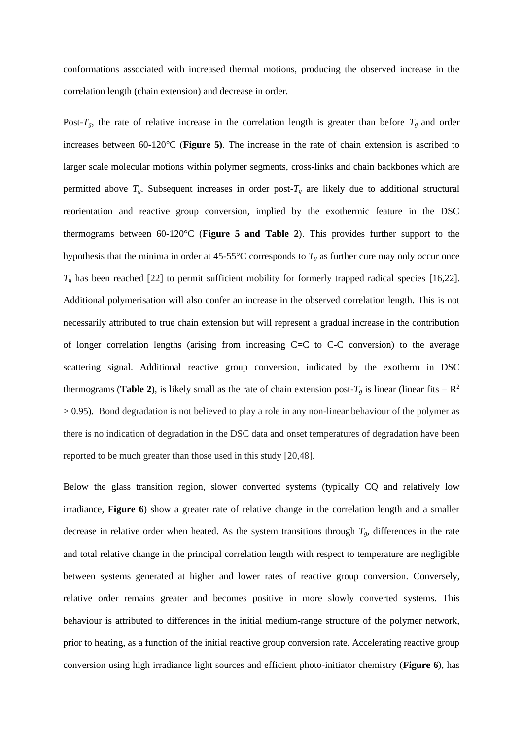conformations associated with increased thermal motions, producing the observed increase in the correlation length (chain extension) and decrease in order.

Post- $T_g$ , the rate of relative increase in the correlation length is greater than before  $T_g$  and order increases between 60-120°C (**Figure 5)**. The increase in the rate of chain extension is ascribed to larger scale molecular motions within polymer segments, cross-links and chain backbones which are permitted above  $T_g$ . Subsequent increases in order post- $T_g$  are likely due to additional structural reorientation and reactive group conversion, implied by the exothermic feature in the DSC thermograms between 60-120°C (**Figure 5 and Table 2**). This provides further support to the hypothesis that the minima in order at 45-55°C corresponds to  $T_g$  as further cure may only occur once  $T_g$  has been reached [22] to permit sufficient mobility for formerly trapped radical species [16,22]. Additional polymerisation will also confer an increase in the observed correlation length. This is not necessarily attributed to true chain extension but will represent a gradual increase in the contribution of longer correlation lengths (arising from increasing C=C to C-C conversion) to the average scattering signal. Additional reactive group conversion, indicated by the exotherm in DSC thermograms (**Table 2**), is likely small as the rate of chain extension post- $T_g$  is linear (linear fits =  $\mathbb{R}^2$ )  $> 0.95$ ). Bond degradation is not believed to play a role in any non-linear behaviour of the polymer as there is no indication of degradation in the DSC data and onset temperatures of degradation have been reported to be much greater than those used in this study [20,48].

Below the glass transition region, slower converted systems (typically CQ and relatively low irradiance, **Figure 6**) show a greater rate of relative change in the correlation length and a smaller decrease in relative order when heated. As the system transitions through  $T_g$ , differences in the rate and total relative change in the principal correlation length with respect to temperature are negligible between systems generated at higher and lower rates of reactive group conversion. Conversely, relative order remains greater and becomes positive in more slowly converted systems. This behaviour is attributed to differences in the initial medium-range structure of the polymer network, prior to heating, as a function of the initial reactive group conversion rate. Accelerating reactive group conversion using high irradiance light sources and efficient photo-initiator chemistry (**Figure 6**), has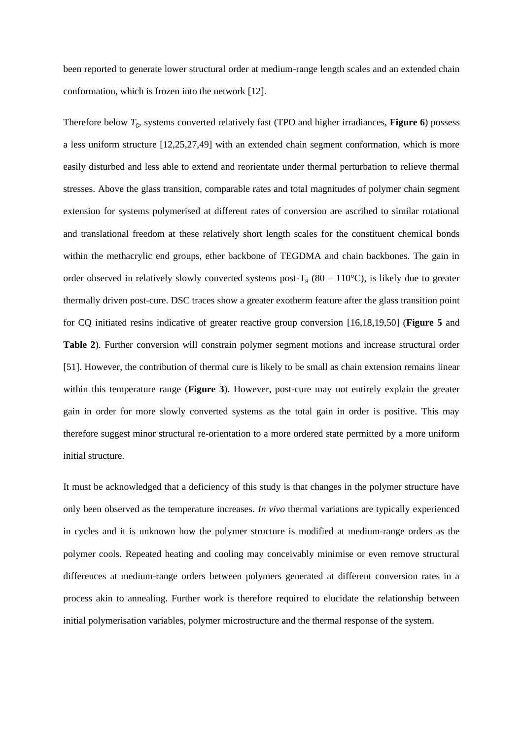been reported to generate lower structural order at medium-range length scales and an extended chain conformation, which is frozen into the network [12].

Therefore below *T*g, systems converted relatively fast (TPO and higher irradiances, **Figure 6**) possess a less uniform structure [12,25,27,49] with an extended chain segment conformation, which is more easily disturbed and less able to extend and reorientate under thermal perturbation to relieve thermal stresses. Above the glass transition, comparable rates and total magnitudes of polymer chain segment extension for systems polymerised at different rates of conversion are ascribed to similar rotational and translational freedom at these relatively short length scales for the constituent chemical bonds within the methacrylic end groups, ether backbone of TEGDMA and chain backbones. The gain in order observed in relatively slowly converted systems post- $T_g$  (80 – 110°C), is likely due to greater thermally driven post-cure. DSC traces show a greater exotherm feature after the glass transition point for CQ initiated resins indicative of greater reactive group conversion [16,18,19,50] (**Figure 5** and **Table 2**). Further conversion will constrain polymer segment motions and increase structural order [51]. However, the contribution of thermal cure is likely to be small as chain extension remains linear within this temperature range (**Figure 3**). However, post-cure may not entirely explain the greater gain in order for more slowly converted systems as the total gain in order is positive. This may therefore suggest minor structural re-orientation to a more ordered state permitted by a more uniform initial structure.

It must be acknowledged that a deficiency of this study is that changes in the polymer structure have only been observed as the temperature increases. *In vivo* thermal variations are typically experienced in cycles and it is unknown how the polymer structure is modified at medium-range orders as the polymer cools. Repeated heating and cooling may conceivably minimise or even remove structural differences at medium-range orders between polymers generated at different conversion rates in a process akin to annealing. Further work is therefore required to elucidate the relationship between initial polymerisation variables, polymer microstructure and the thermal response of the system.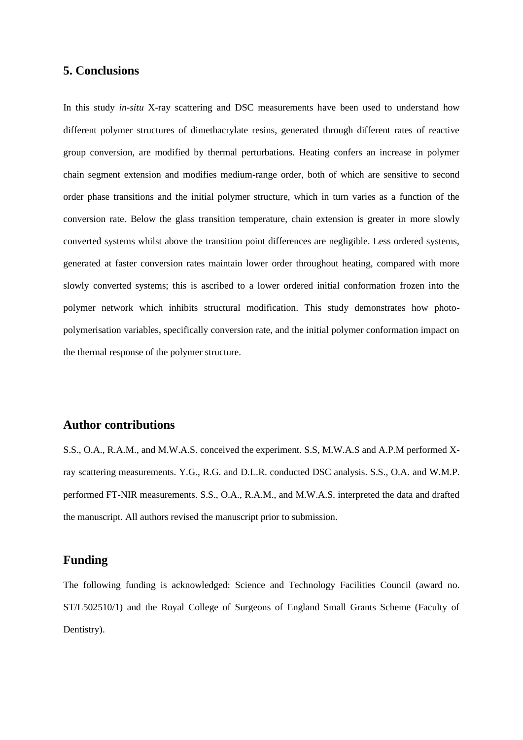## **5. Conclusions**

In this study *in-situ* X-ray scattering and DSC measurements have been used to understand how different polymer structures of dimethacrylate resins, generated through different rates of reactive group conversion, are modified by thermal perturbations. Heating confers an increase in polymer chain segment extension and modifies medium-range order, both of which are sensitive to second order phase transitions and the initial polymer structure, which in turn varies as a function of the conversion rate. Below the glass transition temperature, chain extension is greater in more slowly converted systems whilst above the transition point differences are negligible. Less ordered systems, generated at faster conversion rates maintain lower order throughout heating, compared with more slowly converted systems; this is ascribed to a lower ordered initial conformation frozen into the polymer network which inhibits structural modification. This study demonstrates how photopolymerisation variables, specifically conversion rate, and the initial polymer conformation impact on the thermal response of the polymer structure.

## **Author contributions**

S.S., O.A., R.A.M., and M.W.A.S. conceived the experiment. S.S, M.W.A.S and A.P.M performed Xray scattering measurements. Y.G., R.G. and D.L.R. conducted DSC analysis. S.S., O.A. and W.M.P. performed FT-NIR measurements. S.S., O.A., R.A.M., and M.W.A.S. interpreted the data and drafted the manuscript. All authors revised the manuscript prior to submission.

## **Funding**

The following funding is acknowledged: Science and Technology Facilities Council (award no. ST/L502510/1) and the Royal College of Surgeons of England Small Grants Scheme (Faculty of Dentistry).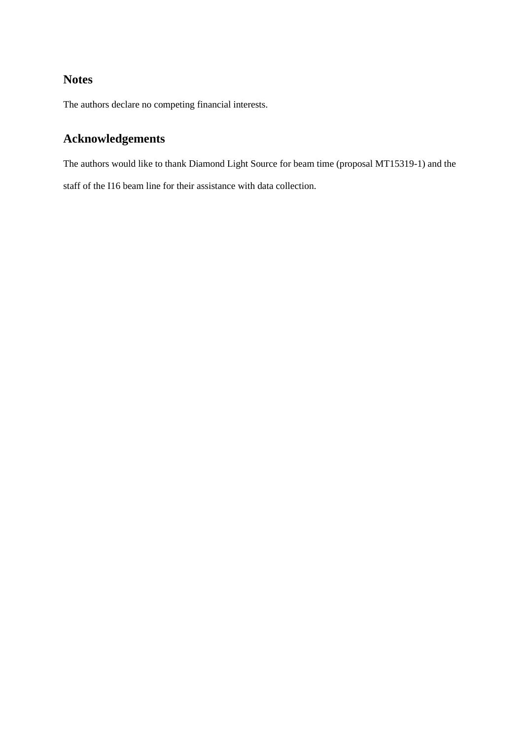## **Notes**

The authors declare no competing financial interests.

# **Acknowledgements**

The authors would like to thank Diamond Light Source for beam time (proposal MT15319-1) and the staff of the I16 beam line for their assistance with data collection.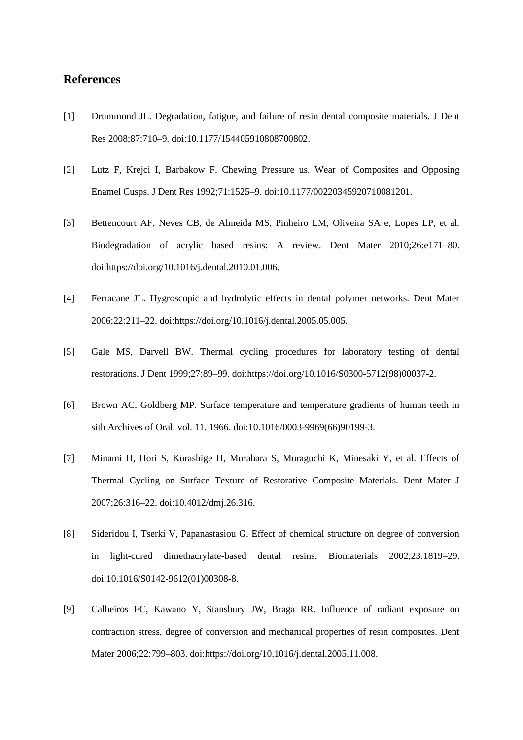## **References**

- [1] Drummond JL. Degradation, fatigue, and failure of resin dental composite materials. J Dent Res 2008;87:710–9. doi:10.1177/154405910808700802.
- [2] Lutz F, Krejci I, Barbakow F. Chewing Pressure us. Wear of Composites and Opposing Enamel Cusps. J Dent Res 1992;71:1525–9. doi:10.1177/00220345920710081201.
- [3] Bettencourt AF, Neves CB, de Almeida MS, Pinheiro LM, Oliveira SA e, Lopes LP, et al. Biodegradation of acrylic based resins: A review. Dent Mater 2010;26:e171–80. doi:https://doi.org/10.1016/j.dental.2010.01.006.
- [4] Ferracane JL. Hygroscopic and hydrolytic effects in dental polymer networks. Dent Mater 2006;22:211–22. doi:https://doi.org/10.1016/j.dental.2005.05.005.
- [5] Gale MS, Darvell BW. Thermal cycling procedures for laboratory testing of dental restorations. J Dent 1999;27:89–99. doi:https://doi.org/10.1016/S0300-5712(98)00037-2.
- [6] Brown AC, Goldberg MP. Surface temperature and temperature gradients of human teeth in sith Archives of Oral. vol. 11. 1966. doi:10.1016/0003-9969(66)90199-3.
- [7] Minami H, Hori S, Kurashige H, Murahara S, Muraguchi K, Minesaki Y, et al. Effects of Thermal Cycling on Surface Texture of Restorative Composite Materials. Dent Mater J 2007;26:316–22. doi:10.4012/dmj.26.316.
- [8] Sideridou I, Tserki V, Papanastasiou G. Effect of chemical structure on degree of conversion in light-cured dimethacrylate-based dental resins. Biomaterials 2002;23:1819–29. doi:10.1016/S0142-9612(01)00308-8.
- [9] Calheiros FC, Kawano Y, Stansbury JW, Braga RR. Influence of radiant exposure on contraction stress, degree of conversion and mechanical properties of resin composites. Dent Mater 2006;22:799–803. doi:https://doi.org/10.1016/j.dental.2005.11.008.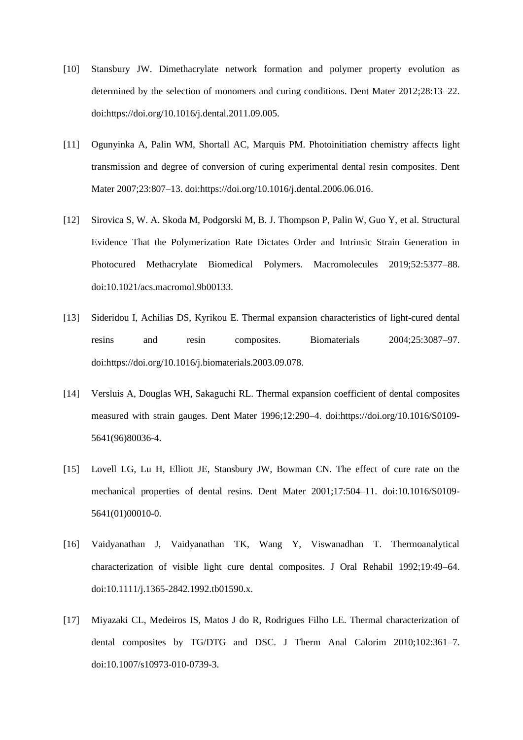- [10] Stansbury JW. Dimethacrylate network formation and polymer property evolution as determined by the selection of monomers and curing conditions. Dent Mater 2012;28:13–22. doi:https://doi.org/10.1016/j.dental.2011.09.005.
- [11] Ogunyinka A, Palin WM, Shortall AC, Marquis PM. Photoinitiation chemistry affects light transmission and degree of conversion of curing experimental dental resin composites. Dent Mater 2007;23:807–13. doi:https://doi.org/10.1016/j.dental.2006.06.016.
- [12] Sirovica S, W. A. Skoda M, Podgorski M, B. J. Thompson P, Palin W, Guo Y, et al. Structural Evidence That the Polymerization Rate Dictates Order and Intrinsic Strain Generation in Photocured Methacrylate Biomedical Polymers. Macromolecules 2019;52:5377–88. doi:10.1021/acs.macromol.9b00133.
- [13] Sideridou I, Achilias DS, Kyrikou E. Thermal expansion characteristics of light-cured dental resins and resin composites. Biomaterials 2004;25:3087–97. doi:https://doi.org/10.1016/j.biomaterials.2003.09.078.
- [14] Versluis A, Douglas WH, Sakaguchi RL. Thermal expansion coefficient of dental composites measured with strain gauges. Dent Mater 1996;12:290–4. doi:https://doi.org/10.1016/S0109- 5641(96)80036-4.
- [15] Lovell LG, Lu H, Elliott JE, Stansbury JW, Bowman CN. The effect of cure rate on the mechanical properties of dental resins. Dent Mater 2001;17:504–11. doi:10.1016/S0109- 5641(01)00010-0.
- [16] Vaidyanathan J, Vaidyanathan TK, Wang Y, Viswanadhan T. Thermoanalytical characterization of visible light cure dental composites. J Oral Rehabil 1992;19:49–64. doi:10.1111/j.1365-2842.1992.tb01590.x.
- [17] Miyazaki CL, Medeiros IS, Matos J do R, Rodrigues Filho LE. Thermal characterization of dental composites by TG/DTG and DSC. J Therm Anal Calorim 2010;102:361–7. doi:10.1007/s10973-010-0739-3.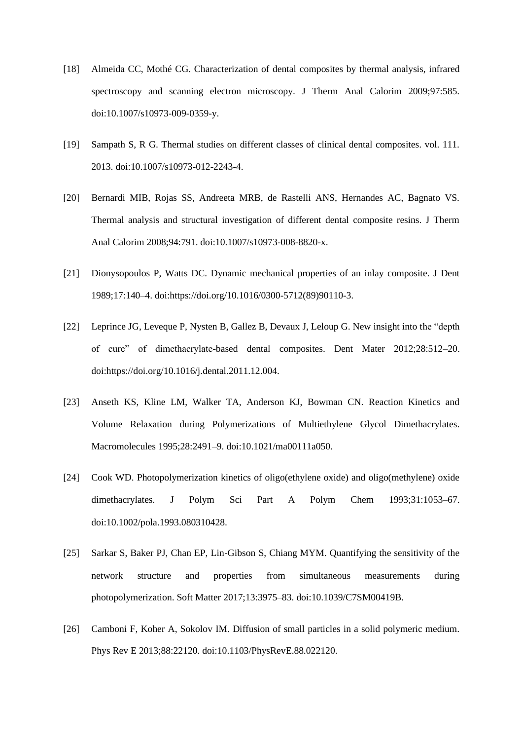- [18] Almeida CC, Mothé CG. Characterization of dental composites by thermal analysis, infrared spectroscopy and scanning electron microscopy. J Therm Anal Calorim 2009;97:585. doi:10.1007/s10973-009-0359-y.
- [19] Sampath S, R G. Thermal studies on different classes of clinical dental composites. vol. 111. 2013. doi:10.1007/s10973-012-2243-4.
- [20] Bernardi MIB, Rojas SS, Andreeta MRB, de Rastelli ANS, Hernandes AC, Bagnato VS. Thermal analysis and structural investigation of different dental composite resins. J Therm Anal Calorim 2008;94:791. doi:10.1007/s10973-008-8820-x.
- [21] Dionysopoulos P, Watts DC. Dynamic mechanical properties of an inlay composite. J Dent 1989;17:140–4. doi:https://doi.org/10.1016/0300-5712(89)90110-3.
- [22] Leprince JG, Leveque P, Nysten B, Gallez B, Devaux J, Leloup G. New insight into the "depth of cure" of dimethacrylate-based dental composites. Dent Mater 2012;28:512–20. doi:https://doi.org/10.1016/j.dental.2011.12.004.
- [23] Anseth KS, Kline LM, Walker TA, Anderson KJ, Bowman CN. Reaction Kinetics and Volume Relaxation during Polymerizations of Multiethylene Glycol Dimethacrylates. Macromolecules 1995;28:2491–9. doi:10.1021/ma00111a050.
- [24] Cook WD. Photopolymerization kinetics of oligo(ethylene oxide) and oligo(methylene) oxide dimethacrylates. J Polym Sci Part A Polym Chem 1993;31:1053–67. doi:10.1002/pola.1993.080310428.
- [25] Sarkar S, Baker PJ, Chan EP, Lin-Gibson S, Chiang MYM. Quantifying the sensitivity of the network structure and properties from simultaneous measurements during photopolymerization. Soft Matter 2017;13:3975–83. doi:10.1039/C7SM00419B.
- [26] Camboni F, Koher A, Sokolov IM. Diffusion of small particles in a solid polymeric medium. Phys Rev E 2013;88:22120. doi:10.1103/PhysRevE.88.022120.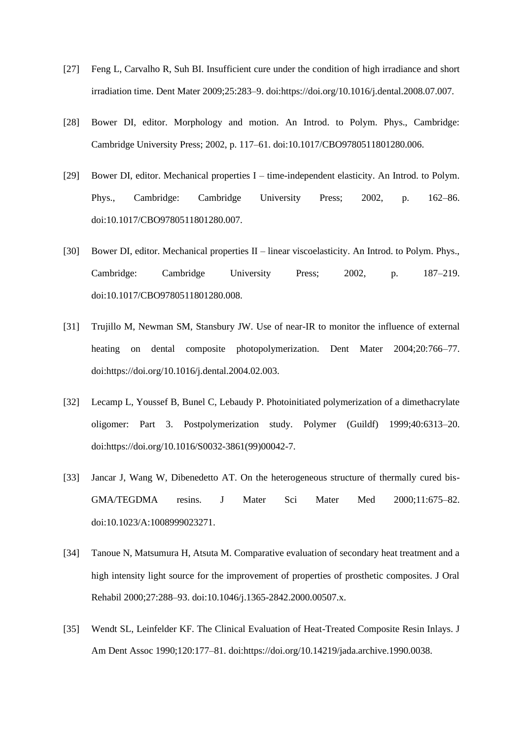- [27] Feng L, Carvalho R, Suh BI. Insufficient cure under the condition of high irradiance and short irradiation time. Dent Mater 2009;25:283–9. doi:https://doi.org/10.1016/j.dental.2008.07.007.
- [28] Bower DI, editor. Morphology and motion. An Introd. to Polym. Phys., Cambridge: Cambridge University Press; 2002, p. 117–61. doi:10.1017/CBO9780511801280.006.
- [29] Bower DI, editor. Mechanical properties I time-independent elasticity. An Introd. to Polym. Phys., Cambridge: Cambridge University Press; 2002, p. 162–86. doi:10.1017/CBO9780511801280.007.
- [30] Bower DI, editor. Mechanical properties II linear viscoelasticity. An Introd. to Polym. Phys., Cambridge: Cambridge University Press; 2002, p. 187–219. doi:10.1017/CBO9780511801280.008.
- [31] Trujillo M, Newman SM, Stansbury JW. Use of near-IR to monitor the influence of external heating on dental composite photopolymerization. Dent Mater 2004;20:766–77. doi:https://doi.org/10.1016/j.dental.2004.02.003.
- [32] Lecamp L, Youssef B, Bunel C, Lebaudy P. Photoinitiated polymerization of a dimethacrylate oligomer: Part 3. Postpolymerization study. Polymer (Guildf) 1999;40:6313–20. doi:https://doi.org/10.1016/S0032-3861(99)00042-7.
- [33] Jancar J, Wang W, Dibenedetto AT. On the heterogeneous structure of thermally cured bis-GMA/TEGDMA resins. J Mater Sci Mater Med 2000;11:675–82. doi:10.1023/A:1008999023271.
- [34] Tanoue N, Matsumura H, Atsuta M. Comparative evaluation of secondary heat treatment and a high intensity light source for the improvement of properties of prosthetic composites. J Oral Rehabil 2000;27:288–93. doi:10.1046/j.1365-2842.2000.00507.x.
- [35] Wendt SL, Leinfelder KF. The Clinical Evaluation of Heat-Treated Composite Resin Inlays. J Am Dent Assoc 1990;120:177–81. doi:https://doi.org/10.14219/jada.archive.1990.0038.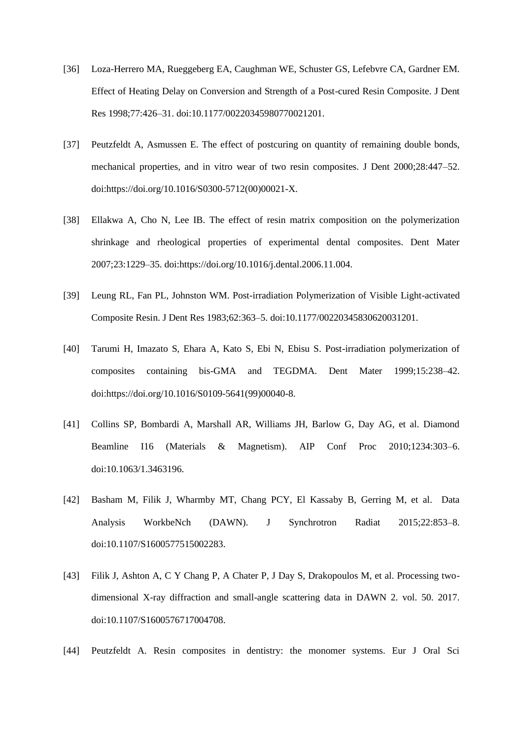- [36] Loza-Herrero MA, Rueggeberg EA, Caughman WE, Schuster GS, Lefebvre CA, Gardner EM. Effect of Heating Delay on Conversion and Strength of a Post-cured Resin Composite. J Dent Res 1998;77:426–31. doi:10.1177/00220345980770021201.
- [37] Peutzfeldt A, Asmussen E. The effect of postcuring on quantity of remaining double bonds, mechanical properties, and in vitro wear of two resin composites. J Dent 2000;28:447–52. doi:https://doi.org/10.1016/S0300-5712(00)00021-X.
- [38] Ellakwa A, Cho N, Lee IB. The effect of resin matrix composition on the polymerization shrinkage and rheological properties of experimental dental composites. Dent Mater 2007;23:1229–35. doi:https://doi.org/10.1016/j.dental.2006.11.004.
- [39] Leung RL, Fan PL, Johnston WM. Post-irradiation Polymerization of Visible Light-activated Composite Resin. J Dent Res 1983;62:363–5. doi:10.1177/00220345830620031201.
- [40] Tarumi H, Imazato S, Ehara A, Kato S, Ebi N, Ebisu S. Post-irradiation polymerization of composites containing bis-GMA and TEGDMA. Dent Mater 1999;15:238–42. doi:https://doi.org/10.1016/S0109-5641(99)00040-8.
- [41] Collins SP, Bombardi A, Marshall AR, Williams JH, Barlow G, Day AG, et al. Diamond Beamline I16 (Materials & Magnetism). AIP Conf Proc 2010;1234:303–6. doi:10.1063/1.3463196.
- [42] Basham M, Filik J, Wharmby MT, Chang PCY, El Kassaby B, Gerring M, et al. Data Analysis WorkbeNch (DAWN). J Synchrotron Radiat 2015;22:853–8. doi:10.1107/S1600577515002283.
- [43] Filik J, Ashton A, C Y Chang P, A Chater P, J Day S, Drakopoulos M, et al. Processing twodimensional X-ray diffraction and small-angle scattering data in DAWN 2. vol. 50. 2017. doi:10.1107/S1600576717004708.
- [44] Peutzfeldt A. Resin composites in dentistry: the monomer systems. Eur J Oral Sci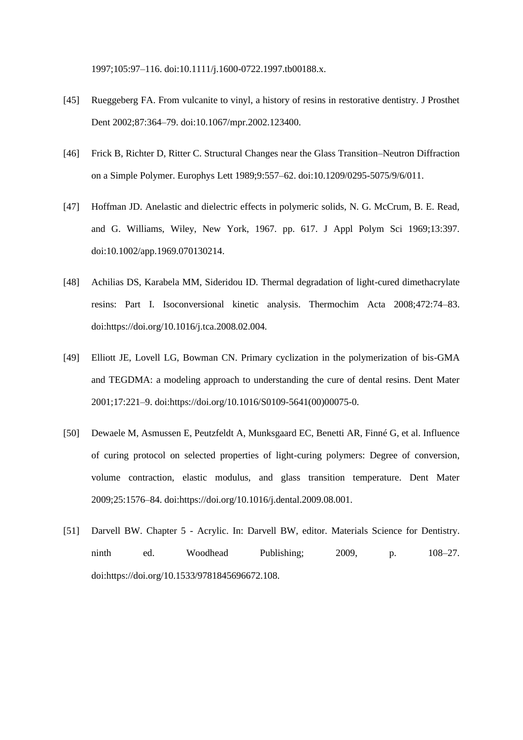1997;105:97–116. doi:10.1111/j.1600-0722.1997.tb00188.x.

- [45] Rueggeberg FA. From vulcanite to vinyl, a history of resins in restorative dentistry. J Prosthet Dent 2002;87:364–79. doi:10.1067/mpr.2002.123400.
- [46] Frick B, Richter D, Ritter C. Structural Changes near the Glass Transition–Neutron Diffraction on a Simple Polymer. Europhys Lett 1989;9:557–62. doi:10.1209/0295-5075/9/6/011.
- [47] Hoffman JD. Anelastic and dielectric effects in polymeric solids, N. G. McCrum, B. E. Read, and G. Williams, Wiley, New York, 1967. pp. 617. J Appl Polym Sci 1969;13:397. doi:10.1002/app.1969.070130214.
- [48] Achilias DS, Karabela MM, Sideridou ID. Thermal degradation of light-cured dimethacrylate resins: Part I. Isoconversional kinetic analysis. Thermochim Acta 2008;472:74–83. doi:https://doi.org/10.1016/j.tca.2008.02.004.
- [49] Elliott JE, Lovell LG, Bowman CN. Primary cyclization in the polymerization of bis-GMA and TEGDMA: a modeling approach to understanding the cure of dental resins. Dent Mater 2001;17:221–9. doi:https://doi.org/10.1016/S0109-5641(00)00075-0.
- [50] Dewaele M, Asmussen E, Peutzfeldt A, Munksgaard EC, Benetti AR, Finné G, et al. Influence of curing protocol on selected properties of light-curing polymers: Degree of conversion, volume contraction, elastic modulus, and glass transition temperature. Dent Mater 2009;25:1576–84. doi:https://doi.org/10.1016/j.dental.2009.08.001.
- [51] Darvell BW. Chapter 5 Acrylic. In: Darvell BW, editor. Materials Science for Dentistry. ninth ed. Woodhead Publishing; 2009, p. 108–27. doi:https://doi.org/10.1533/9781845696672.108.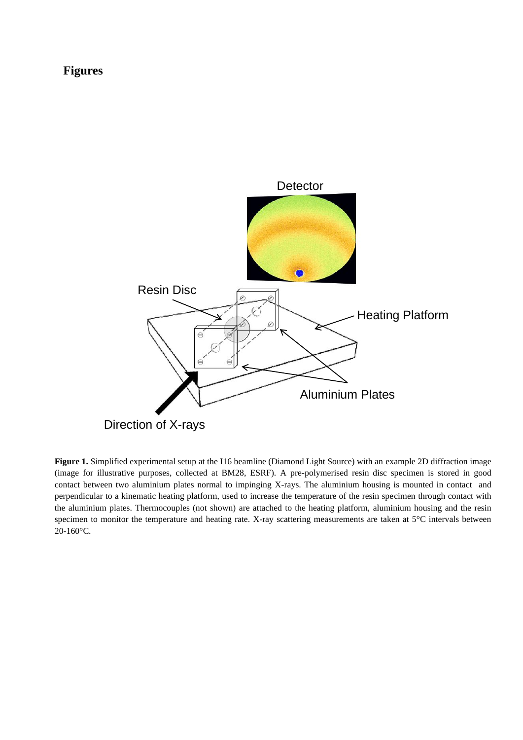## **Figures**



**Figure 1.** Simplified experimental setup at the I16 beamline (Diamond Light Source) with an example 2D diffraction image (image for illustrative purposes, collected at BM28, ESRF). A pre-polymerised resin disc specimen is stored in good contact between two aluminium plates normal to impinging X-rays. The aluminium housing is mounted in contact and perpendicular to a kinematic heating platform, used to increase the temperature of the resin specimen through contact with the aluminium plates. Thermocouples (not shown) are attached to the heating platform, aluminium housing and the resin specimen to monitor the temperature and heating rate. X-ray scattering measurements are taken at 5°C intervals between 20-160°C.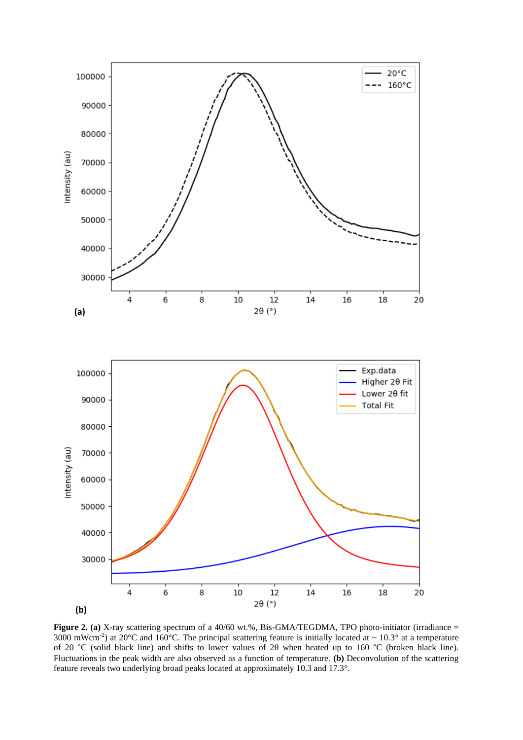

**Figure 2. (a)** X-ray scattering spectrum of a 40/60 wt.%, Bis-GMA/TEGDMA, TPO photo-initiator (irradiance = 3000 mWcm<sup>-2</sup>) at 20°C and 160°C. The principal scattering feature is initially located at  $\sim 10.3$ ° at a temperature of 20 °C (solid black line) and shifts to lower values of 2θ when heated up to 160 °C (broken black line). Fluctuations in the peak width are also observed as a function of temperature. **(b)** Deconvolution of the scattering feature reveals two underlying broad peaks located at approximately 10.3 and 17.3°.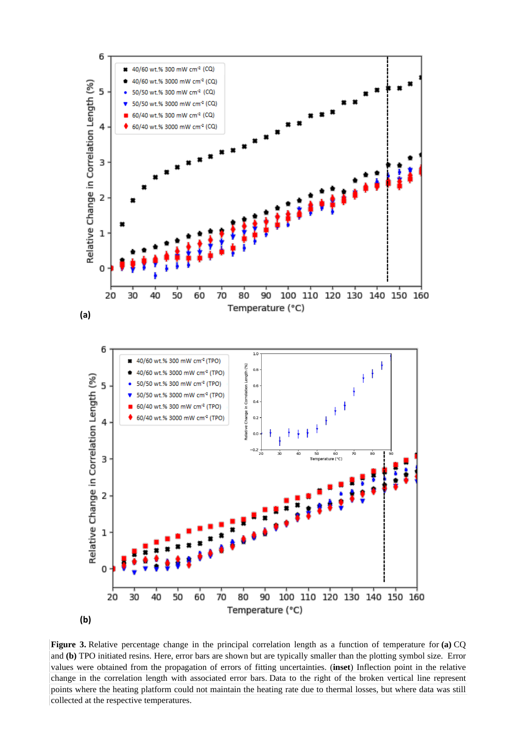

**Figure 3.** Relative percentage change in the principal correlation length as a function of temperature for **(a)** CQ and **(b)** TPO initiated resins. Here, error bars are shown but are typically smaller than the plotting symbol size. Error values were obtained from the propagation of errors of fitting uncertainties. (**inset**) Inflection point in the relative change in the correlation length with associated error bars. Data to the right of the broken vertical line represent points where the heating platform could not maintain the heating rate due to thermal losses, but where data was still collected at the respective temperatures.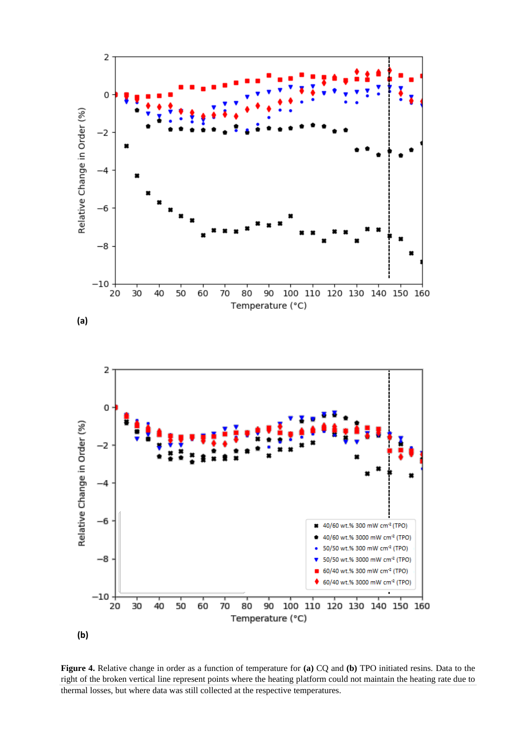

**Figure 4.** Relative change in order as a function of temperature for **(a)** CQ and **(b)** TPO initiated resins. Data to the right of the broken vertical line represent points where the heating platform could not maintain the heating rate due to thermal losses, but where data was still collected at the respective temperatures.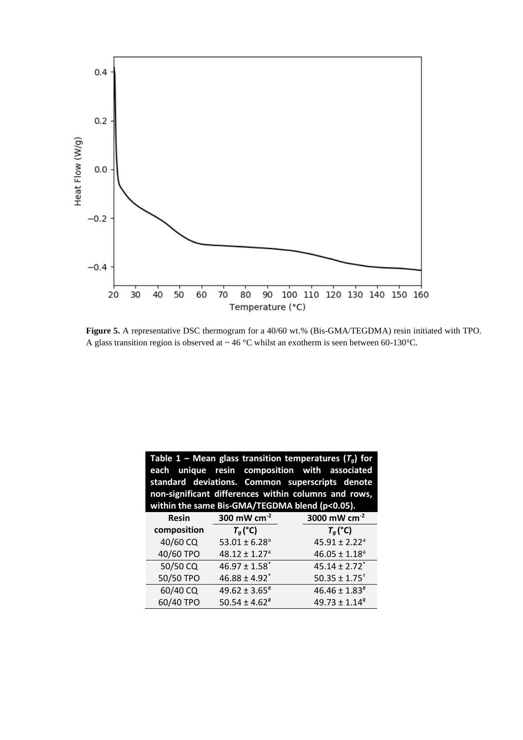

**Figure 5.** A representative DSC thermogram for a 40/60 wt.% (Bis-GMA/TEGDMA) resin initiated with TPO. A glass transition region is observed at  $\sim$  46 °C whilst an exotherm is seen between 60-130°C.

| Table 1 – Mean glass transition temperatures ( $T_q$ ) for<br>each unique resin composition with associated<br>standard deviations. Common superscripts denote<br>non-significant differences within columns and rows,<br>within the same Bis-GMA/TEGDMA blend (p<0.05). |                               |                               |  |
|--------------------------------------------------------------------------------------------------------------------------------------------------------------------------------------------------------------------------------------------------------------------------|-------------------------------|-------------------------------|--|
| <b>Resin</b>                                                                                                                                                                                                                                                             | 300 mW $cm-2$                 | 3000 mW $cm^{-2}$             |  |
| composition                                                                                                                                                                                                                                                              | $T_q$ (°C)                    | $T_q$ (°C)                    |  |
| 40/60 CQ                                                                                                                                                                                                                                                                 | $53.01 \pm 6.28$ <sup>a</sup> | $45.91 \pm 2.22$ <sup>a</sup> |  |
| 40/60 TPO                                                                                                                                                                                                                                                                | $48.12 \pm 1.27$ <sup>a</sup> | $46.05 \pm 1.18$ <sup>a</sup> |  |
| 50/50 CQ                                                                                                                                                                                                                                                                 | $46.97 \pm 1.58$ <sup>*</sup> | $45.14 \pm 2.72$ <sup>*</sup> |  |
| 50/50 TPO                                                                                                                                                                                                                                                                | $46.88 \pm 4.92$ <sup>*</sup> | $50.35 \pm 1.75$ <sup>+</sup> |  |
| 60/40 CQ                                                                                                                                                                                                                                                                 | $49.62 \pm 3.65^{\text{*}}$   | $46.46 \pm 1.83^{\text{*}}$   |  |
| 60/40 TPO                                                                                                                                                                                                                                                                | $50.54 \pm 4.62$ <sup>#</sup> | $49.73 \pm 1.14^{\text{*}}$   |  |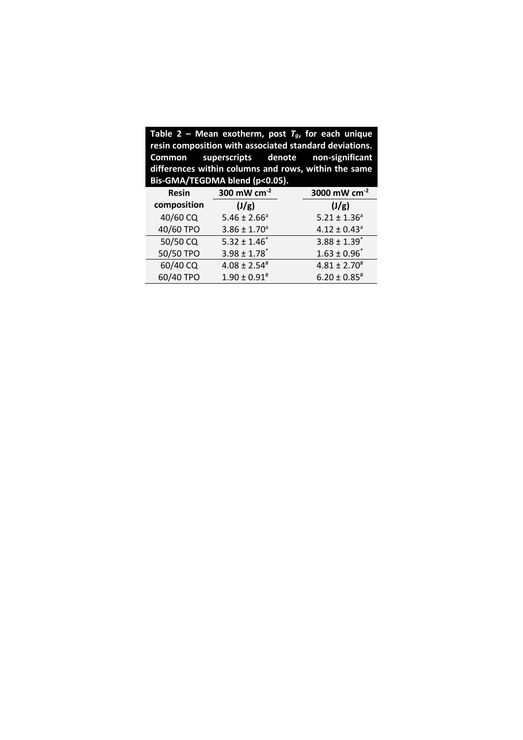| Table 2 – Mean exotherm, post $T_g$ , for each unique<br>resin composition with associated standard deviations.<br>Common superscripts denote non-significant<br>differences within columns and rows, within the same<br>Bis-GMA/TEGDMA blend (p<0.05). |                              |                              |  |
|---------------------------------------------------------------------------------------------------------------------------------------------------------------------------------------------------------------------------------------------------------|------------------------------|------------------------------|--|
| <b>Resin</b>                                                                                                                                                                                                                                            | 300 mW cm $^{-2}$            | 3000 mW cm <sup>-2</sup>     |  |
| composition                                                                                                                                                                                                                                             | (J/g)                        | (J/g)                        |  |
| 40/60 CQ                                                                                                                                                                                                                                                | $5.46 \pm 2.66^a$            | $5.21 \pm 1.36^a$            |  |
| 40/60 TPO                                                                                                                                                                                                                                               | $3.86 \pm 1.70^a$            | $4.12 \pm 0.43$ <sup>a</sup> |  |
| 50/50 CQ                                                                                                                                                                                                                                                | $5.32 \pm 1.46^*$            | $3.88 \pm 1.39$ <sup>*</sup> |  |
| 50/50 TPO                                                                                                                                                                                                                                               | $3.98 \pm 1.78$ <sup>*</sup> | $1.63 \pm 0.96^*$            |  |
| 60/40 CQ                                                                                                                                                                                                                                                | $4.08 \pm 2.54^{\#}$         | $4.81 \pm 2.70^{\text{\#}}$  |  |
| 60/40 TPO                                                                                                                                                                                                                                               | $1.90 \pm 0.91$ <sup>#</sup> | $6.20 \pm 0.85$ #            |  |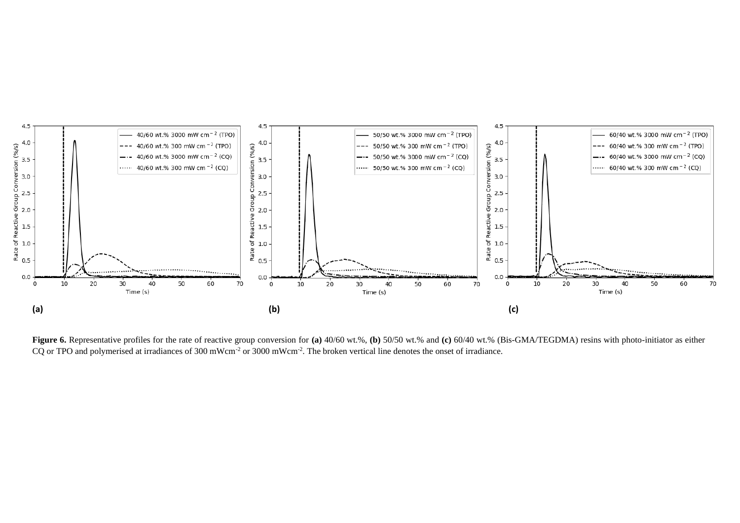

**Figure 6.** Representative profiles for the rate of reactive group conversion for **(a)** 40/60 wt.%, **(b)** 50/50 wt.% and **(c)** 60/40 wt.% (Bis-GMA/TEGDMA) resins with photo-initiator as either CQ or TPO and polymerised at irradiances of 300 mWcm<sup>-2</sup> or 3000 mWcm<sup>-2</sup>. The broken vertical line denotes the onset of irradiance.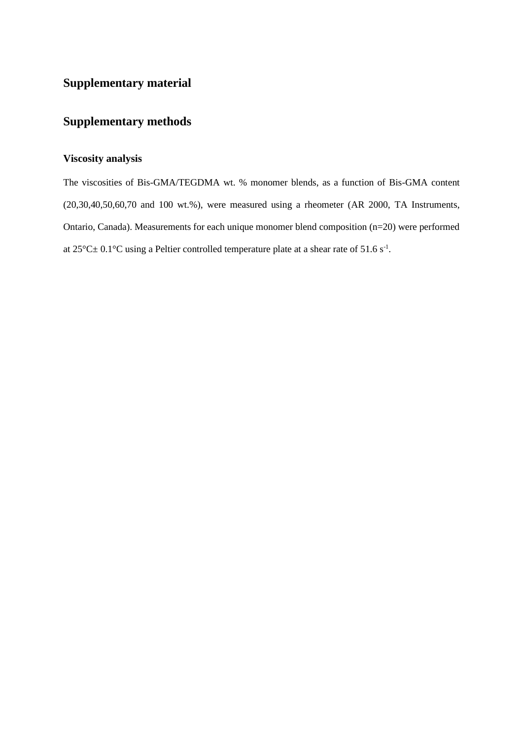## **Supplementary material**

## **Supplementary methods**

## **Viscosity analysis**

The viscosities of Bis-GMA/TEGDMA wt. % monomer blends, as a function of Bis-GMA content (20,30,40,50,60,70 and 100 wt.%), were measured using a rheometer (AR 2000, TA Instruments, Ontario, Canada). Measurements for each unique monomer blend composition (n=20) were performed at  $25^{\circ}$ C $\pm$  0.1°C using a Peltier controlled temperature plate at a shear rate of 51.6 s<sup>-1</sup>.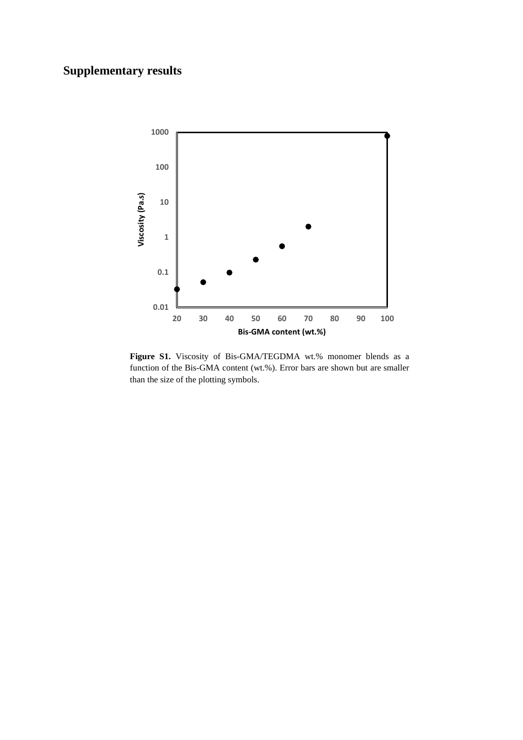# **Supplementary results**



Figure S1. Viscosity of Bis-GMA/TEGDMA wt.% monomer blends as a function of the Bis-GMA content (wt.%). Error bars are shown but are smaller than the size of the plotting symbols.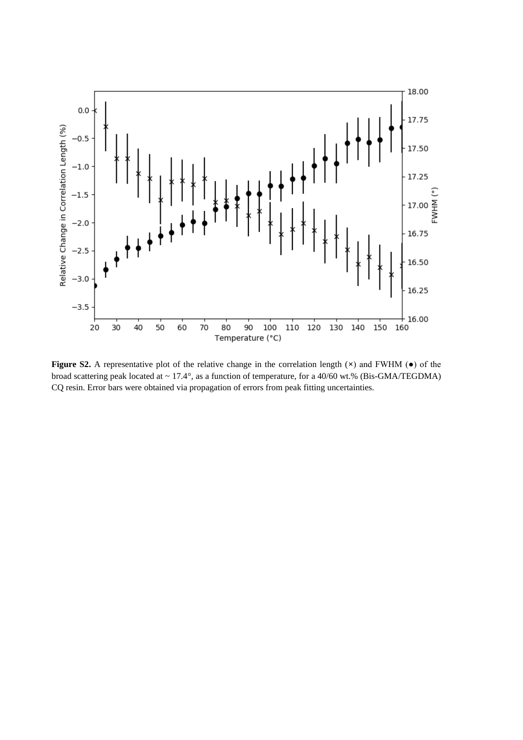

**Figure S2.** A representative plot of the relative change in the correlation length (**×**) and FWHM (●) of the broad scattering peak located at ~ 17.4°, as a function of temperature, for a 40/60 wt.% (Bis-GMA/TEGDMA) CQ resin. Error bars were obtained via propagation of errors from peak fitting uncertainties.